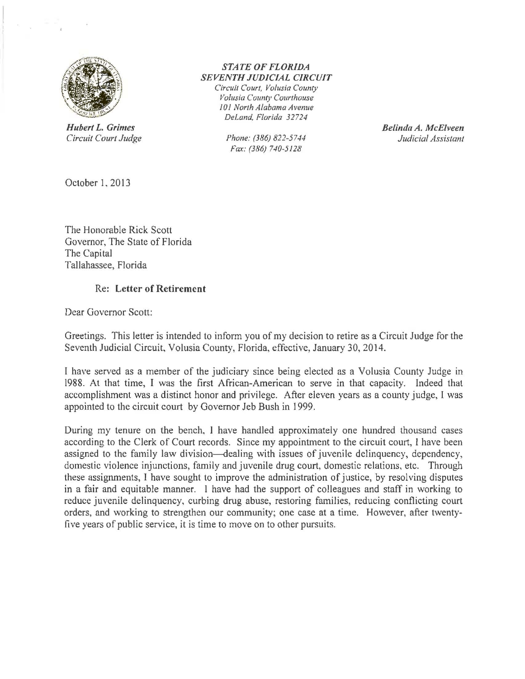

*Circuit Court Judge* 

## *STATE OF FLORIDA SEVENTH JUDICIAL CIRCUIT*

*Circuit Court, Volusia County Volusia County Courthouse 101 North Alabama Avenue DeLand, Florida 32724* 

*Fax: (386) 740-5128* 

**Hubert L. Grimes**<br>Circuit Court Judge **Circuit Court Judge Belinda A. McElveen Belinda A. McElveen** 

October 1, 2013

The Honorable Rick Scott Governor, The State of Florida The Capital Tallahassee, Florida

## Re: Letter of Retirement

Dear Governor Scott:

Greetings. This letter is intended to inform you of my decision to retire as a Circuit Judge for the Seventh Judicial Circuit, Volusia County, Florida, effective, January 30, 2014.

I have served as a member of the judiciary since being elected as a Volusia County Judge in 1988. At that time, I was the first African-American to serve in that capacity. Indeed that accomplishment was a distinct honor and privilege. After eleven years as a county judge, I was appointed to the circuit court by Governor Jeb Bush in 1999.

During my tenure on the bench, I have handled approximately one hundred thousand cases according to the Clerk of Court records. Since my appointment to the circuit court, l have been assigned to the family law division—dealing with issues of juvenile delinquency, dependency, domestic violence injunctions, family and juvenile drug court, domestic relations, etc. Through these assignments, I have sought to improve the administration of justice, by resolving disputes in a fair and equitable manner. I have had the support of colleagues and staff in working to reduce juvenile delinquency, curbing drug abuse, restoring families, reducing conflicting court orders, and working to strengthen our community; one case at a time. However, after twentyfive years of public service, it is time to move on to other pursuits.